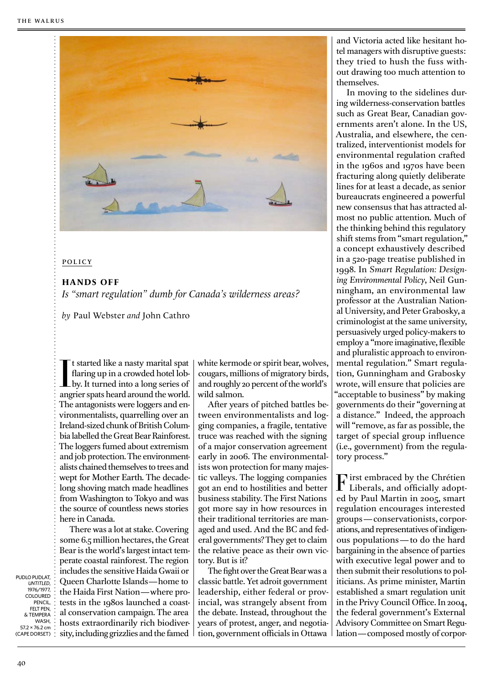

## policy

## **HANDS OFF**

*Is "smart regulation" dumb for Canada's wilderness areas?*

*by* Paul Webster *and* John Cathro

It started like a nasty marital spat<br>flaring up in a crowded hotel lob-<br>by. It turned into a long series of<br>angrier spats heard around the world. t started like a nasty marital spat flaring up in a crowded hotel lobby. It turned into a long series of The antagonists were loggers and environmentalists, quarrelling over an Ireland-sized chunk of British Columbia labelled the Great Bear Rainforest. The loggers fumed about extremism and job protection. The environmentalists chained themselves to trees and wept for Mother Earth. The decadelong shoving match made headlines from Washington to Tokyo and was the source of countless news stories here in Canada.

There was a lot at stake. Covering some 6.5 million hectares, the Great Bear is the world's largest intact temperate coastal rainforest. The region includes the sensitive Haida Gwaii or Queen Charlotte Islands—home to the Haida First Nation—where protests in the 1980s launched a coastal conservation campaign. The area hosts extraordinarily rich biodiversity, including grizzlies and the famed white kermode or spirit bear, wolves, cougars, millions of migratory birds, and roughly 20 percent of the world's wild salmon.

After years of pitched battles between environmentalists and logging companies, a fragile, tentative truce was reached with the signing of a major conservation agreement early in 2006. The environmentalists won protection for many majestic valleys. The logging companies got an end to hostilities and better business stability. The First Nations got more say in how resources in their traditional territories are managed and used. And the BC and federal governments? They get to claim the relative peace as their own victory. But is it?

The fight over the Great Bear was a classic battle. Yet adroit government leadership, either federal or provincial, was strangely absent from the debate. Instead, throughout the years of protest, anger, and negotiation, government officials in Ottawa

and Victoria acted like hesitant hotel managers with disruptive guests: they tried to hush the fuss without drawing too much attention to themselves.

In moving to the sidelines during wilderness-conservation battles such as Great Bear, Canadian governments aren't alone. In the US, Australia, and elsewhere, the centralized, interventionist models for environmental regulation crafted in the 1960s and 1970s have been fracturing along quietly deliberate lines for at least a decade, as senior bureaucrats engineered a powerful new consensus that has attracted almost no public attention. Much of the thinking behind this regulatory shift stems from "smart regulation," a concept exhaustively described in a 520-page treatise published in 1998. In Smart Regulation: Designing Environmental Policy, Neil Gunningham, an environmental law professor at the Australian National University, and Peter Grabosky, a criminologist at the same university, persuasively urged policy-makers to employ a "more imaginative, flexible and pluralistic approach to environmental regulation." Smart regulation, Gunningham and Grabosky wrote, will ensure that policies are "acceptable to business" by making governments do their "governing at a distance." Indeed, the approach will "remove, as far as possible, the target of special group influence (i.e., government) from the regulatory process."

 $\Gamma$  irst embraced by the Chrétien<br>Liberals, and officially adopt-Liberals, and officially adopted by Paul Martin in 2005, smart regulation encourages interested groups — conservationists, corporations, and representatives of indigenous populations—to do the hard bargaining in the absence of parties with executive legal power and to then submit their resolutions to politicians. As prime minister, Martin established a smart regulation unit in the Privy Council Office. In 2004, the federal government's External Advisory Committee on Smart Regulation—composed mostly of corpor-

PUDLO PUDLAT, **UNTITLED,** 1976/1977 COLOURED PENCIL, FELT PEN & TEMPERA **WASH**  $57.2 \times 76.2$  cm (CAPE DORSET)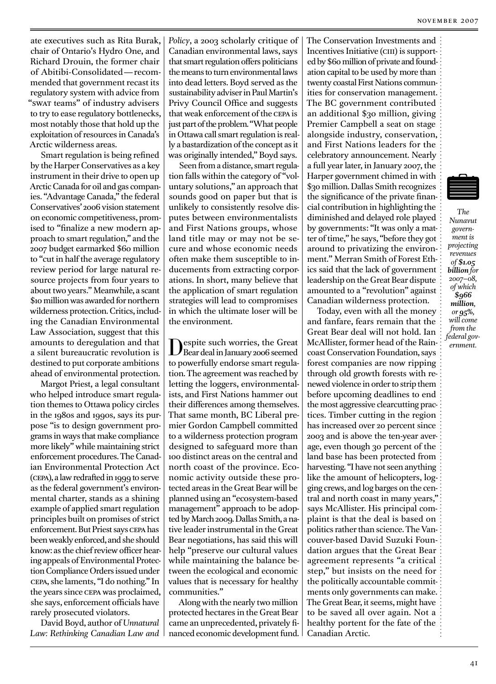ate executives such as Rita Burak. chair of Ontario's Hydro One, and Richard Drouin, the former chair of Abitibi-Consolidated—recommended that government recast its regulatory system with advice from "SWAT teams" of industry advisers to try to ease regulatory bottlenecks, most notably those that hold up the exploitation of resources in Canada's Arctic wilderness areas.

Smart regulation is being refined by the Harper Conservatives as a key instrument in their drive to open up Arctic Canada for oil and gas companies. "Advantage Canada," the federal Conservatives' 2006 vision statement on economic competitiveness, promised to "finalize a new modern approach to smart regulation," and the 2007 budget earmarked \$60 million to "cut in half the average regulatory review period for large natural resource projects from four years to about two years." Meanwhile, a scant \$10 million was awarded for northern wilderness protection. Critics, including the Canadian Environmental Law Association, suggest that this amounts to deregulation and that a silent bureaucratic revolution is destined to put corporate ambitions ahead of environmental protection.

Margot Priest, a legal consultant who helped introduce smart regulation themes to Ottawa policy circles in the 1980s and 1990s, says its purpose "is to design government programs in ways that make compliance more likely" while maintaining strict enforcement procedures. The Canadian Environmental Protection Act (CEPA), a law redrafted in 1999 to serve as the federal government's environmental charter, stands as a shining example of applied smart regulation principles built on promises of strict enforcement. But Priest says CEPA has been weakly enforced, and she should know; as the chief review officer hearing appeals of Environmental Protection Compliance Orders issued under CEPA, she laments, "I do nothing." In the years since CEPA was proclaimed, she says, enforcement officials have rarely prosecuted violators.

David Boyd, author of Unnatural Law: Rethinking Canadian Law and *Policy*, a 2003 scholarly critique of Canadian environmental laws, says that smart regulation offers politicians the means to turn environmental laws into dead letters. Boyd served as the sustainability adviser in Paul Martin's Privy Council Office and suggests that weak enforcement of the CEPA is just part of the problem. "What people in Ottawa call smart regulation is really a bastardization of the concept as it was originally intended," Boyd says.

Seen from a distance, smart regulation falls within the category of "voluntary solutions," an approach that sounds good on paper but that is unlikely to consistently resolve disputes between environmentalists and First Nations groups, whose land title may or may not be secure and whose economic needs often make them susceptible to inducements from extracting corporations. In short, many believe that the application of smart regulation strategies will lead to compromises in which the ultimate loser will be the environment.

Despite such worries, the Great<br>DBear deal in January 2006 seemed to powerfully endorse smart regulation. The agreement was reached by letting the loggers, environmentalists, and First Nations hammer out their differences among themselves. That same month, BC Liberal premier Gordon Campbell committed to a wilderness protection program designed to safeguard more than too distinct areas on the central and north coast of the province. Economic activity outside these protected areas in the Great Bear will be planned using an "ecosystem-based management" approach to be adopted by March 2009. Dallas Smith, a native leader instrumental in the Great Bear negotiations, has said this will help "preserve our cultural values while maintaining the balance between the ecological and economic values that is necessary for healthy communities."

Along with the nearly two million protected hectares in the Great Bear came an unprecedented, privately financed economic development fund.

The Conservation Investments and Incentives Initiative (CIII) is supported by \$60 million of private and foundation capital to be used by more than twenty coastal First Nations communities for conservation management. The BC government contributed an additional \$30 million, giving Premier Campbell a seat on stage alongside industry, conservation, and First Nations leaders for the celebratory announcement. Nearly a full year later, in January 2007, the Harper government chimed in with \$30 million. Dallas Smith recognizes the significance of the private financial contribution in highlighting the diminished and delayed role played by governments: "It was only a matter of time," he says, "before they got around to privatizing the environment." Merran Smith of Forest Ethics said that the lack of government leadership on the Great Bear dispute amounted to a "revolution" against Canadian wilderness protection.

Today, even with all the money and fanfare, fears remain that the Great Bear deal will not hold. Ian McAllister, former head of the Raincoast Conservation Foundation, says forest companies are now ripping through old growth forests with renewed violence in order to strip them before upcoming deadlines to end the most aggressive clearcutting practices. Timber cutting in the region has increased over 20 percent since 2003 and is above the ten-year average, even though 30 percent of the land base has been protected from harvesting. "I have not seen anything like the amount of helicopters, logging crews, and log barges on the central and north coast in many years," says McAllister. His principal complaint is that the deal is based on politics rather than science. The Vancouver-based David Suzuki Foundation argues that the Great Bear agreement represents "a critical step," but insists on the need for the politically accountable commitments only governments can make. The Great Bear, it seems, might have to be saved all over again. Not a healthy portent for the fate of the Canadian Arctic.



*C@Û Nunavut* govern- $\overline{m}$ *ent* is projecting *revenues of* \$1.05  $b$ *illion* for *2007*-08,  $of which$ *Û* million, *JMÛÉÛ RDGGÛ>JH@Û* from the  $\check{F}$ *ederal* gov $emment$